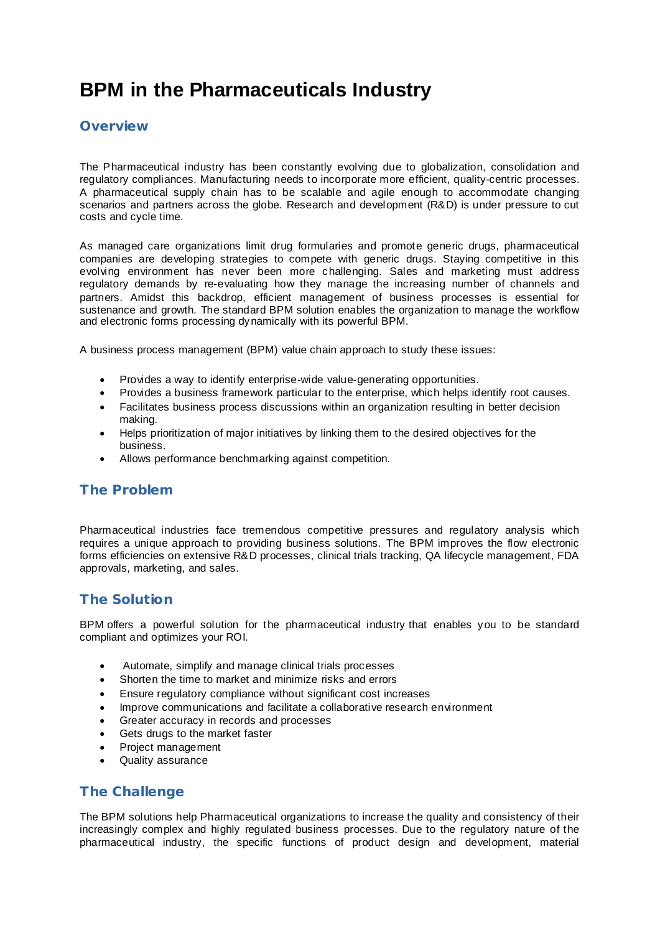# **BPM in the Pharmaceuticals Industry**

## **Overview**

The Pharmaceutical industry has been constantly evolving due to globalization, consolidation and regulatory compliances. Manufacturing needs to incorporate more efficient, quality-centric processes. A pharmaceutical supply chain has to be scalable and agile enough to accommodate changing scenarios and partners across the globe. Research and development (R&D) is under pressure to cut costs and cycle time.

As managed care organizations limit drug formularies and promote generic drugs, pharmaceutical companies are developing strategies to compete with generic drugs. Staying competitive in this evolving environment has never been more challenging. Sales and marketing must address regulatory demands by re-evaluating how they manage the increasing number of channels and partners. Amidst this backdrop, efficient management of business processes is essential for sustenance and growth. The standard BPM solution enables the organization to manage the workflow and electronic forms processing dynamically with its powerful BPM.

A business process management (BPM) value chain approach to study these issues:

- · Provides a way to identify enterprise-wide value-generating opportunities.
- · Provides a business framework particular to the enterprise, which helps identify root causes.
- Facilitates business process discussions within an organization resulting in better decision making.
- · Helps prioritization of major initiatives by linking them to the desired objectives for the business.
- · Allows performance benchmarking against competition.

# **The Problem**

Pharmaceutical industries face tremendous competitive pressures and regulatory analysis which requires a unique approach to providing business solutions. The BPM improves the flow electronic forms efficiencies on extensive R&D processes, clinical trials tracking, QA lifecycle management, FDA approvals, marketing, and sales.

# **The Solution**

BPM offers a powerful solution for the pharmaceutical industry that enables you to be standard compliant and optimizes your ROI.

- · Automate, simplify and manage clinical trials processes
- · Shorten the time to market and minimize risks and errors
- · Ensure regulatory compliance without significant cost increases
- · Improve communications and facilitate a collaborative research environment
- Greater accuracy in records and processes
- Gets drugs to the market faster
- · Project management
- Quality assurance

# **The Challenge**

The BPM solutions help Pharmaceutical organizations to increase the quality and consistency of their increasingly complex and highly regulated business processes. Due to the regulatory nature of the pharmaceutical industry, the specific functions of product design and development, material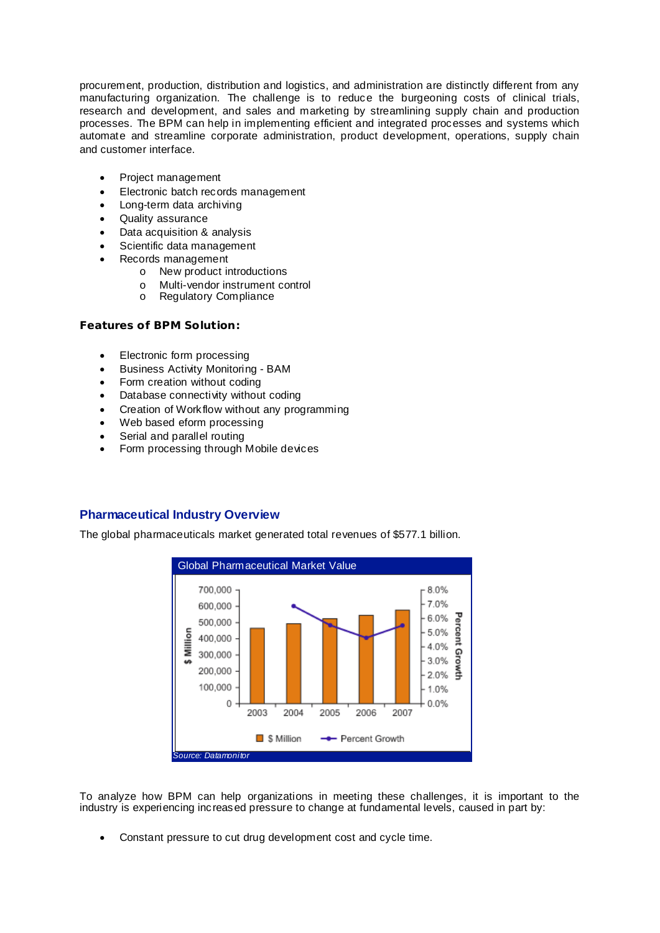procurement, production, distribution and logistics, and administration are distinctly different from any manufacturing organization. The challenge is to reduce the burgeoning costs of clinical trials, research and development, and sales and marketing by streamlining supply chain and production processes. The BPM can help in implementing efficient and integrated processes and systems which automate and streamline corporate administration, product development, operations, supply chain and customer interface.

- Project management
- · Electronic batch records management
- · Long-term data archiving
- · Quality assurance
- · Data acquisition & analysis
- Scientific data management
- Records management
	- o New product introductions
	- o Multi-vendor instrument control
	- o Regulatory Compliance

**Features of BPM Solution:**

- · Electronic form processing
- · Business Activity Monitoring BAM
- Form creation without coding
- · Database connectivity without coding
- Creation of Workflow without any programming
- Web based eform processing
- Serial and parallel routing
- Form processing through Mobile devices

### **Pharmaceutical Industry Overview**

The global pharmaceuticals market generated total revenues of \$577.1 billion.



To analyze how BPM can help organizations in meeting these challenges, it is important to the industry is experiencing increased pressure to change at fundamental levels, caused in part by:

Constant pressure to cut drug development cost and cycle time.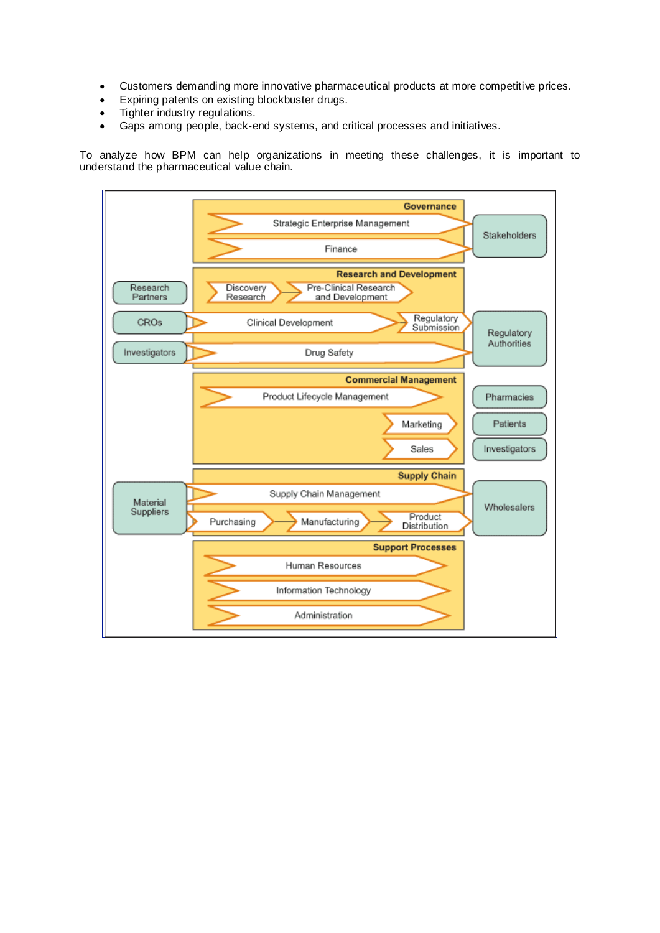- · Customers demanding more innovative pharmaceutical products at more competitive prices.
- · Expiring patents on existing blockbuster drugs.
- · Tighter industry regulations.
- · Gaps among people, back-end systems, and critical processes and initiatives.

To analyze how BPM can help organizations in meeting these challenges, it is important to understand the pharmaceutical value chain.

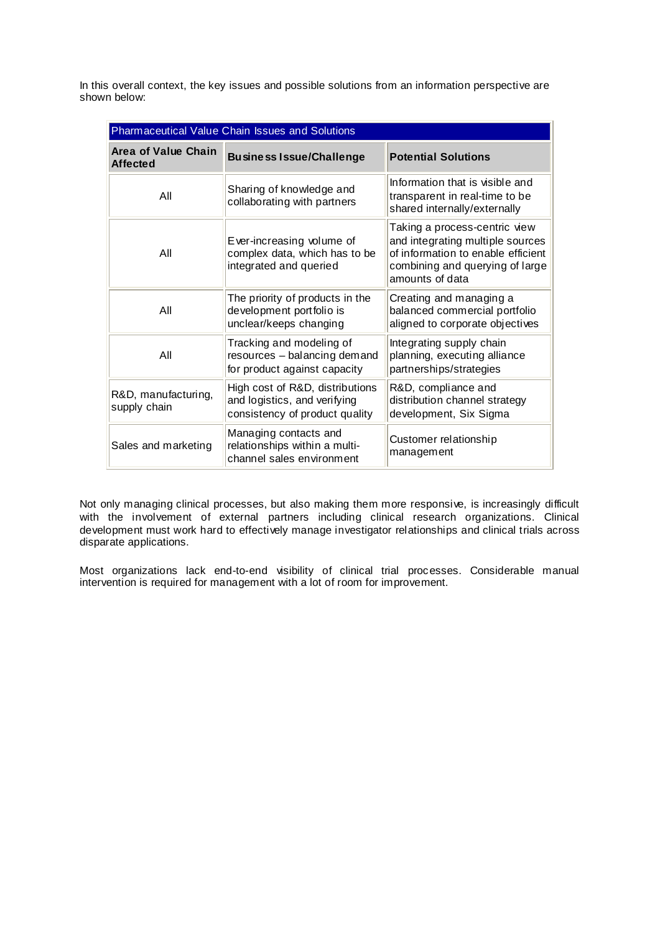In this overall context, the key issues and possible solutions from an information perspective are shown below:

| Pharmaceutical Value Chain Issues and Solutions |                                                                                                   |                                                                                                                                                               |  |
|-------------------------------------------------|---------------------------------------------------------------------------------------------------|---------------------------------------------------------------------------------------------------------------------------------------------------------------|--|
| <b>Area of Value Chain</b><br><b>Affected</b>   | <b>Business Issue/Challenge</b>                                                                   | <b>Potential Solutions</b>                                                                                                                                    |  |
| All                                             | Sharing of knowledge and<br>collaborating with partners                                           | Information that is visible and<br>transparent in real-time to be<br>shared internally/externally                                                             |  |
| All                                             | Ever-increasing volume of<br>complex data, which has to be<br>integrated and queried              | Taking a process-centric view<br>and integrating multiple sources<br>of information to enable efficient<br>combining and querying of large<br>amounts of data |  |
| All                                             | The priority of products in the<br>development portfolio is<br>unclear/keeps changing             | Creating and managing a<br>balanced commercial portfolio<br>aligned to corporate objectives                                                                   |  |
| All                                             | Tracking and modeling of<br>resources - balancing demand<br>for product against capacity          | Integrating supply chain<br>planning, executing alliance<br>partnerships/strategies                                                                           |  |
| R&D, manufacturing,<br>supply chain             | High cost of R&D, distributions<br>and logistics, and verifying<br>consistency of product quality | R&D, compliance and<br>distribution channel strategy<br>development, Six Sigma                                                                                |  |
| Sales and marketing                             | Managing contacts and<br>relationships within a multi-<br>channel sales environment               | Customer relationship<br>management                                                                                                                           |  |

Not only managing clinical processes, but also making them more responsive, is increasingly difficult with the involvement of external partners including clinical research organizations. Clinical development must work hard to effectively manage investigator relationships and clinical trials across disparate applications.

Most organizations lack end-to-end visibility of clinical trial processes. Considerable manual intervention is required for management with a lot of room for improvement.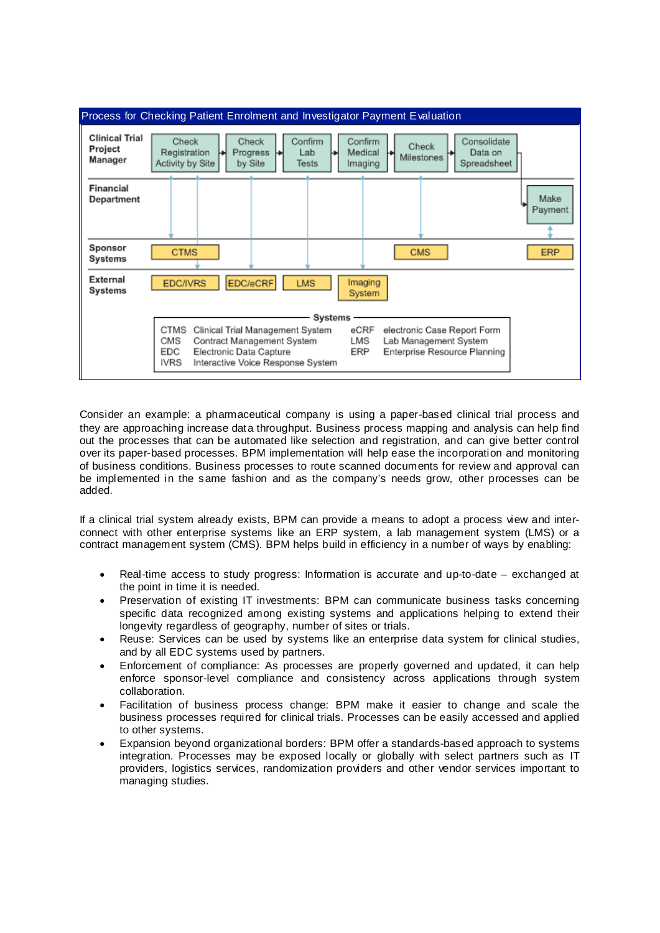| Process for Checking Patient Enrolment and Investigator Payment Evaluation            |                                                                                                                                                                                                                                          |  |  |  |
|---------------------------------------------------------------------------------------|------------------------------------------------------------------------------------------------------------------------------------------------------------------------------------------------------------------------------------------|--|--|--|
| <b>Clinical Trial</b><br>Project<br>Manager                                           | Confirm<br>Consolidate<br>Check<br>Check<br>Confirm<br>Check<br>Registration<br>Medical<br>Progress<br>Lab<br>Data on<br>⊬<br>ь<br>Milestones<br>Activity by Site<br>Spreadsheet<br>by Site<br>Tests<br>Imaging                          |  |  |  |
| Financial<br><b>Department</b>                                                        | Make<br>Payment                                                                                                                                                                                                                          |  |  |  |
| Sponsor<br>Systems                                                                    | <b>CMS</b><br><b>ERP</b><br><b>CTMS</b>                                                                                                                                                                                                  |  |  |  |
| External<br>EDC/eCRF<br>Imaging<br><b>EDC/IVRS</b><br><b>LMS</b><br>Systems<br>System |                                                                                                                                                                                                                                          |  |  |  |
|                                                                                       | Systems<br>CTMS<br>eCRF<br>Clinical Trial Management System<br>electronic Case Report Form<br>CMS<br>LMS<br>Contract Management System<br>Lab Management System<br>EDC<br>ERP<br>Enterprise Resource Planning<br>Electronic Data Capture |  |  |  |
|                                                                                       | IVRS<br>Interactive Voice Response System                                                                                                                                                                                                |  |  |  |

Consider an example: a pharmaceutical company is using a paper-based clinical trial process and they are approaching increase data throughput. Business process mapping and analysis can help find out the processes that can be automated like selection and registration, and can give better control over its paper-based processes. BPM implementation will help ease the incorporation and monitoring of business conditions. Business processes to route scanned documents for review and approval can be implemented in the same fashion and as the company's needs grow, other processes can be added.

If a clinical trial system already exists, BPM can provide a means to adopt a process view and interconnect with other enterprise systems like an ERP system, a lab management system (LMS) or a contract management system (CMS). BPM helps build in efficiency in a number of ways by enabling:

- · Real-time access to study progress: Information is accurate and up-to-date exchanged at the point in time it is needed.
- Preservation of existing IT investments: BPM can communicate business tasks concerning specific data recognized among existing systems and applications helping to extend their longevity regardless of geography, number of sites or trials.
- Reuse: Services can be used by systems like an enterprise data system for clinical studies, and by all EDC systems used by partners.
- Enforcement of compliance: As processes are properly governed and updated, it can help enforce sponsor-level compliance and consistency across applications through system collaboration.
- Facilitation of business process change: BPM make it easier to change and scale the business processes required for clinical trials. Processes can be easily accessed and applied to other systems.
- Expansion beyond organizational borders: BPM offer a standards-based approach to systems integration. Processes may be exposed locally or globally with select partners such as IT providers, logistics services, randomization providers and other vendor services important to managing studies.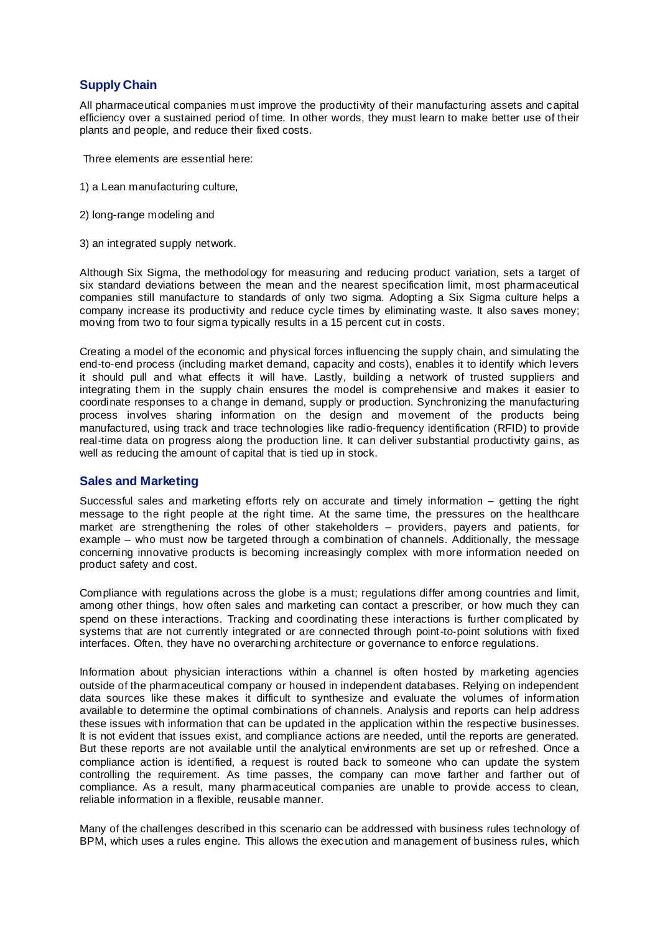# **Supply Chain**

All pharmaceutical companies must improve the productivity of their manufacturing assets and capital efficiency over a sustained period of time. In other words, they must learn to make better use of their plants and people, and reduce their fixed costs.

- Three elements are essential here:
- 1) a Lean manufacturing culture,
- 2) long-range modeling and
- 3) an integrated supply network.

Although Six Sigma, the methodology for measuring and reducing product variation, sets a target of six standard deviations between the mean and the nearest specification limit, most pharmaceutical companies still manufacture to standards of only two sigma. Adopting a Six Sigma culture helps a company increase its productivity and reduce cycle times by eliminating waste. It also saves money; moving from two to four sigma typically results in a 15 percent cut in costs.

Creating a model of the economic and physical forces influencing the supply chain, and simulating the end-to-end process (including market demand, capacity and costs), enables it to identify which levers it should pull and what effects it will have. Lastly, building a network of trusted suppliers and integrating them in the supply chain ensures the model is comprehensive and makes it easier to coordinate responses to a change in demand, supply or production. Synchronizing the manufacturing process involves sharing information on the design and movement of the products being manufactured, using track and trace technologies like radio-frequency identification (RFID) to provide real-time data on progress along the production line. It can deliver substantial productivity gains, as well as reducing the amount of capital that is tied up in stock.

#### **Sales and Marketing**

Successful sales and marketing efforts rely on accurate and timely information – getting the right message to the right people at the right time. At the same time, the pressures on the healthcare market are strengthening the roles of other stakeholders – providers, payers and patients, for example – who must now be targeted through a combination of channels. Additionally, the message concerning innovative products is becoming increasingly complex with more information needed on product safety and cost.

Compliance with regulations across the globe is a must; regulations differ among countries and limit, among other things, how often sales and marketing can contact a prescriber, or how much they can spend on these interactions. Tracking and coordinating these interactions is further complicated by systems that are not currently integrated or are connected through point-to-point solutions with fixed interfaces. Often, they have no overarching architecture or governance to enforce regulations.

Information about physician interactions within a channel is often hosted by marketing agencies outside of the pharmaceutical company or housed in independent databases. Relying on independent data sources like these makes it difficult to synthesize and evaluate the volumes of information available to determine the optimal combinations of channels. Analysis and reports can help address these issues with information that can be updated in the application within the respective businesses. It is not evident that issues exist, and compliance actions are needed, until the reports are generated. But these reports are not available until the analytical environments are set up or refreshed. Once a compliance action is identified, a request is routed back to someone who can update the system controlling the requirement. As time passes, the company can move farther and farther out of compliance. As a result, many pharmaceutical companies are unable to provide access to clean, reliable information in a flexible, reusable manner.

Many of the challenges described in this scenario can be addressed with business rules technology of BPM, which uses a rules engine. This allows the execution and management of business rules, which